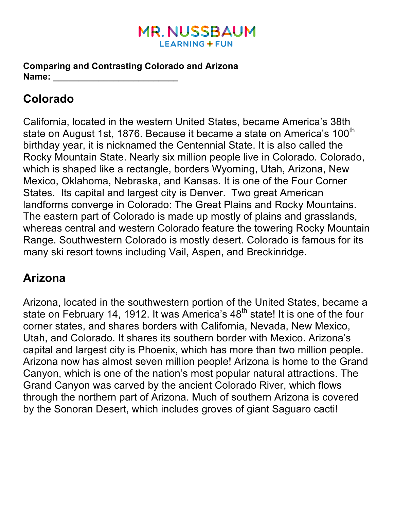### **MR. NUSSBAUM LEARNING + FUN**

**Comparing and Contrasting Colorado and Arizona Name: \_\_\_\_\_\_\_\_\_\_\_\_\_\_\_\_\_\_\_\_\_\_\_\_\_**

# **Colorado**

California, located in the western United States, became America's 38th state on August 1st, 1876. Because it became a state on America's 100<sup>th</sup> birthday year, it is nicknamed the Centennial State. It is also called the Rocky Mountain State. Nearly six million people live in Colorado. Colorado, which is shaped like a rectangle, borders Wyoming, Utah, Arizona, New Mexico, Oklahoma, Nebraska, and Kansas. It is one of the Four Corner States. Its capital and largest city is Denver. Two great American landforms converge in Colorado: The Great Plains and Rocky Mountains. The eastern part of Colorado is made up mostly of plains and grasslands, whereas central and western Colorado feature the towering Rocky Mountain Range. Southwestern Colorado is mostly desert. Colorado is famous for its many ski resort towns including Vail, Aspen, and Breckinridge.

## **Arizona**

Arizona, located in the southwestern portion of the United States, became a state on February 14, 1912. It was America's  $48<sup>th</sup>$  state! It is one of the four corner states, and shares borders with California, Nevada, New Mexico, Utah, and Colorado. It shares its southern border with Mexico. Arizona's capital and largest city is Phoenix, which has more than two million people. Arizona now has almost seven million people! Arizona is home to the Grand Canyon, which is one of the nation's most popular natural attractions. The Grand Canyon was carved by the ancient Colorado River, which flows through the northern part of Arizona. Much of southern Arizona is covered by the Sonoran Desert, which includes groves of giant Saguaro cacti!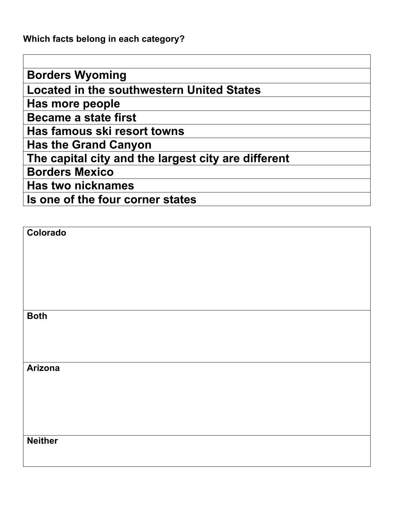**Which facts belong in each category?** 

**Borders Wyoming Located in the southwestern United States Has more people Became a state first Has famous ski resort towns Has the Grand Canyon The capital city and the largest city are different Borders Mexico Has two nicknames Is one of the four corner states**

| Colorado       |  |  |  |
|----------------|--|--|--|
|                |  |  |  |
|                |  |  |  |
|                |  |  |  |
|                |  |  |  |
|                |  |  |  |
| <b>Both</b>    |  |  |  |
|                |  |  |  |
|                |  |  |  |
|                |  |  |  |
| <b>Arizona</b> |  |  |  |
|                |  |  |  |
|                |  |  |  |
|                |  |  |  |
|                |  |  |  |
|                |  |  |  |
| <b>Neither</b> |  |  |  |
|                |  |  |  |
|                |  |  |  |